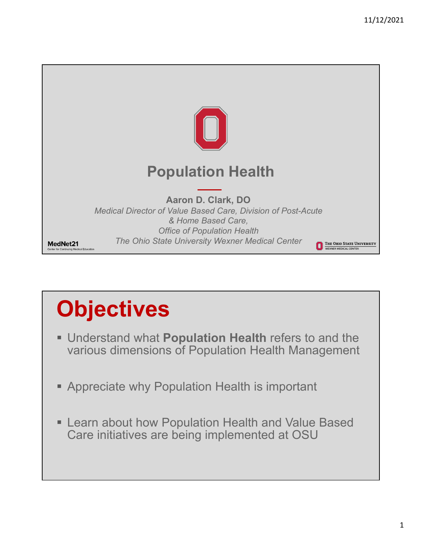

# **Objectives**

- Understand what **Population Health** refers to and the various dimensions of Population Health Management
- Appreciate why Population Health is important
- **EXALLE 20 FEAT ADOUT HEALT PROPERTY FIGHTS** Learn about how Population Health and Value Based Care initiatives are being implemented at OSU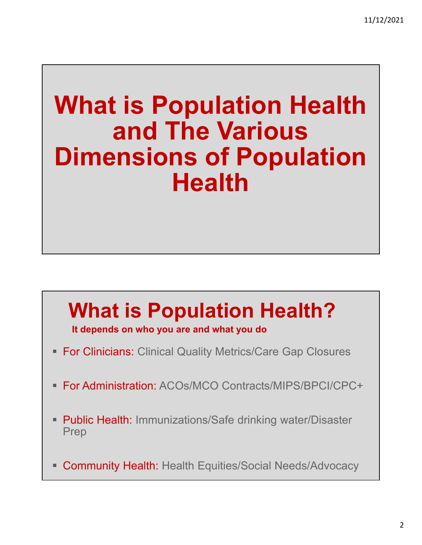## **What is Population Health and The Various Dimensions of Population Health**

## **What is Population Health? It depends on who you are and what you do**

- **For Clinicians: Clinical Quality Metrics/Care Gap Closures**
- For Administration: ACOs/MCO Contracts/MIPS/BPCI/CPC+
- Public Health: Immunizations/Safe drinking water/Disaster Prep
- Community Health: Health Equities/Social Needs/Advocacy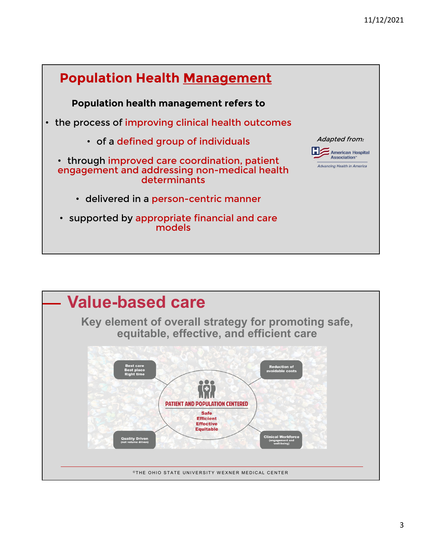

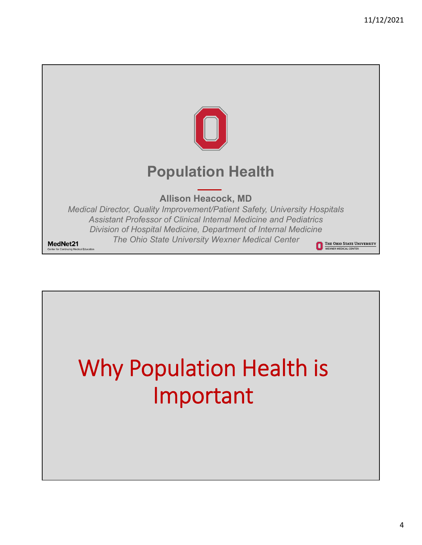

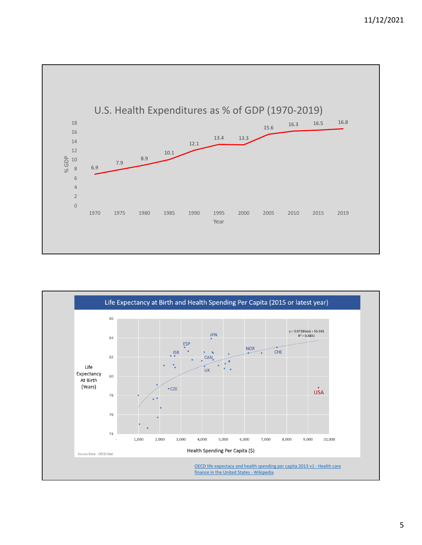

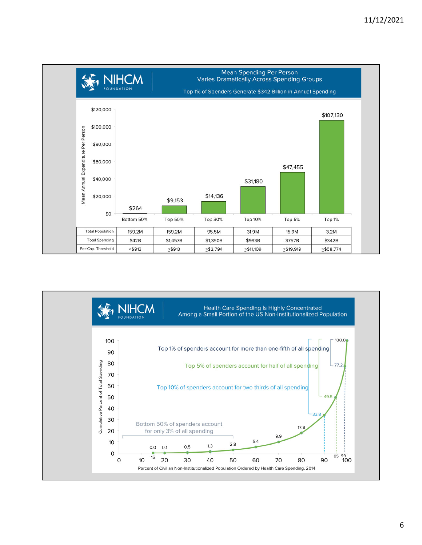

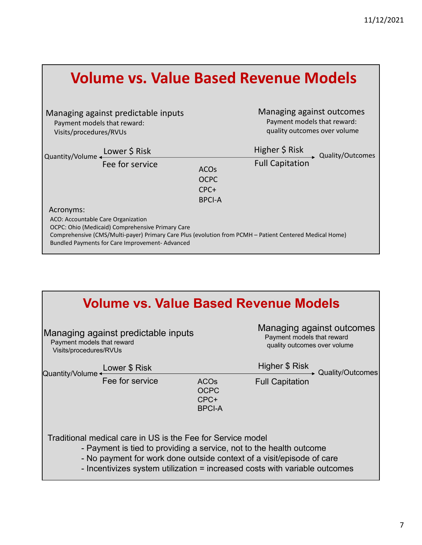|                                                                                                                                                                                                                                                                  |                            | <b>Volume vs. Value Based Revenue Models</b>                                             |
|------------------------------------------------------------------------------------------------------------------------------------------------------------------------------------------------------------------------------------------------------------------|----------------------------|------------------------------------------------------------------------------------------|
| Managing against predictable inputs<br>Payment models that reward:<br>Visits/procedures/RVUs                                                                                                                                                                     |                            | Managing against outcomes<br>Payment models that reward:<br>quality outcomes over volume |
| Quantity/Volume Lower \$ Risk                                                                                                                                                                                                                                    |                            | Higher \$ Risk<br>Full Capitation<br>Full Capitation                                     |
| Fee for service                                                                                                                                                                                                                                                  | <b>ACOs</b><br><b>OCPC</b> |                                                                                          |
|                                                                                                                                                                                                                                                                  | CPC+                       |                                                                                          |
|                                                                                                                                                                                                                                                                  | <b>BPCI-A</b>              |                                                                                          |
| Acronyms:<br>ACO: Accountable Care Organization<br>OCPC: Ohio (Medicaid) Comprehensive Primary Care<br>Comprehensive (CMS/Multi-payer) Primary Care Plus (evolution from PCMH - Patient Centered Medical Home)<br>Bundled Payments for Care Improvement-Advanced |                            |                                                                                          |

| <b>Volume vs. Value Based Revenue Models</b>                                                |                                                             |                                                                                         |                                                                                                                                                                                                                            |  |
|---------------------------------------------------------------------------------------------|-------------------------------------------------------------|-----------------------------------------------------------------------------------------|----------------------------------------------------------------------------------------------------------------------------------------------------------------------------------------------------------------------------|--|
| Managing against predictable inputs<br>Payment models that reward<br>Visits/procedures/RVUs |                                                             | Managing against outcomes<br>Payment models that reward<br>quality outcomes over volume |                                                                                                                                                                                                                            |  |
| Quantity/Volume                                                                             | Lower \$ Risk                                               |                                                                                         | Higher \$ Risk<br>► Quality/Outcomes                                                                                                                                                                                       |  |
|                                                                                             | Fee for service                                             | <b>ACOs</b><br><b>OCPC</b><br>CPC+<br><b>BPCI-A</b>                                     | <b>Full Capitation</b>                                                                                                                                                                                                     |  |
|                                                                                             | Traditional medical care in US is the Fee for Service model |                                                                                         | - Payment is tied to providing a service, not to the health outcome<br>- No payment for work done outside context of a visit/episode of care<br>- Incentivizes system utilization = increased costs with variable outcomes |  |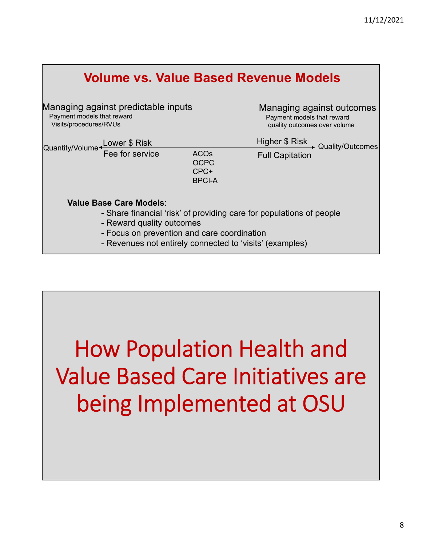| <b>Volume vs. Value Based Revenue Models</b>                                                                                                                                                                                            |                                                     |                                                                                         |  |  |  |
|-----------------------------------------------------------------------------------------------------------------------------------------------------------------------------------------------------------------------------------------|-----------------------------------------------------|-----------------------------------------------------------------------------------------|--|--|--|
| Managing against predictable inputs<br>Payment models that reward<br>Visits/procedures/RVUs                                                                                                                                             |                                                     | Managing against outcomes<br>Payment models that reward<br>quality outcomes over volume |  |  |  |
| Quantity/Volume + Lower \$ Risk                                                                                                                                                                                                         |                                                     | Higher \$ Risk Quality/Outcomes                                                         |  |  |  |
| Fee for service                                                                                                                                                                                                                         | <b>ACOs</b><br><b>OCPC</b><br>CPC+<br><b>BPCI-A</b> | <b>Full Capitation</b>                                                                  |  |  |  |
| Value Base Care Models:<br>- Share financial 'risk' of providing care for populations of people<br>- Reward quality outcomes<br>- Focus on prevention and care coordination<br>- Revenues not entirely connected to 'visits' (examples) |                                                     |                                                                                         |  |  |  |

# How Population Health and Value Based Care Initiatives are being Implemented at OSU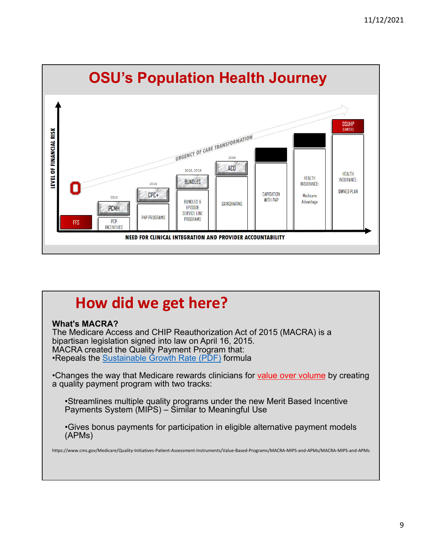

## **How did we get here?**

#### **What's MACRA?**

The Medicare Access and CHIP Reauthorization Act of 2015 (MACRA) is a bipartisan legislation signed into law on April 16, 2015. MACRA created the Quality Payment Program that: •Repeals the Sustainable Growth Rate (PDF) formula

•Changes the way that Medicare rewards clinicians for value over volume by creating a quality payment program with two tracks:

•Streamlines multiple quality programs under the new Merit Based Incentive Payments System (MIPS) – Similar to Meaningful Use

•Gives bonus payments for participation in eligible alternative payment models (APMs)

https://www.cms.gov/Medicare/Quality‐Initiatives‐Patient‐Assessment‐Instruments/Value‐Based‐Programs/MACRA‐MIPS‐and‐APMs/MACRA‐MIPS‐and‐APMs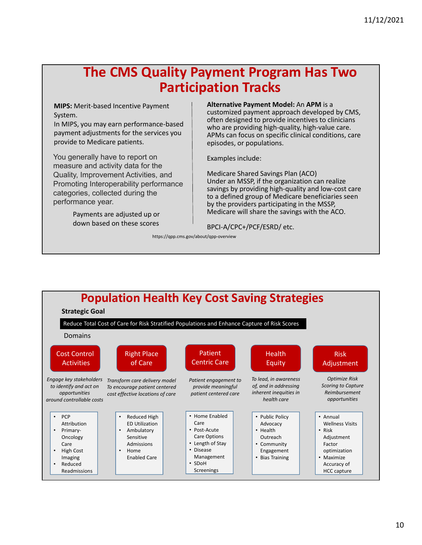### **The CMS Quality Payment Program Has Two Participation Tracks**

**MIPS:** Merit‐based Incentive Payment System.

In MIPS, you may earn performance‐based payment adjustments for the services you provide to Medicare patients.

You generally have to report on measure and activity data for the Quality, Improvement Activities, and Promoting Interoperability performance categories, collected during the performance year.

> Payments are adjusted up or down based on these scores

#### **Alternative Payment Model:** An **APM** is a

customized payment approach developed by CMS, often designed to provide incentives to clinicians who are providing high-quality, high-value care. APMs can focus on specific clinical conditions, care episodes, or populations.

Examples include:

Medicare Shared Savings Plan (ACO) Under an MSSP, if the organization can realize savings by providing high‐quality and low‐cost care to a defined group of Medicare beneficiaries seen by the providers participating in the MSSP, Medicare will share the savings with the ACO.

BPCI‐A/CPC+/PCF/ESRD/ etc.

https://qpp.cms.gov/about/qpp‐overview

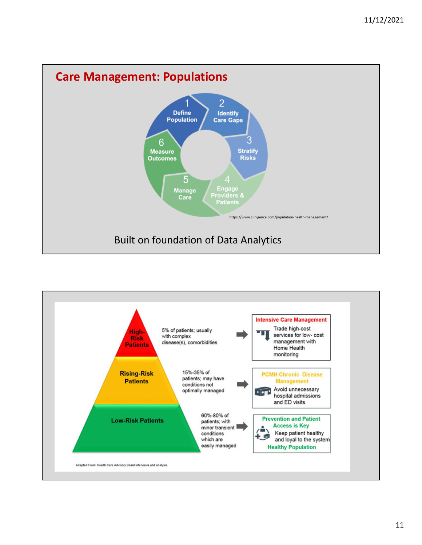